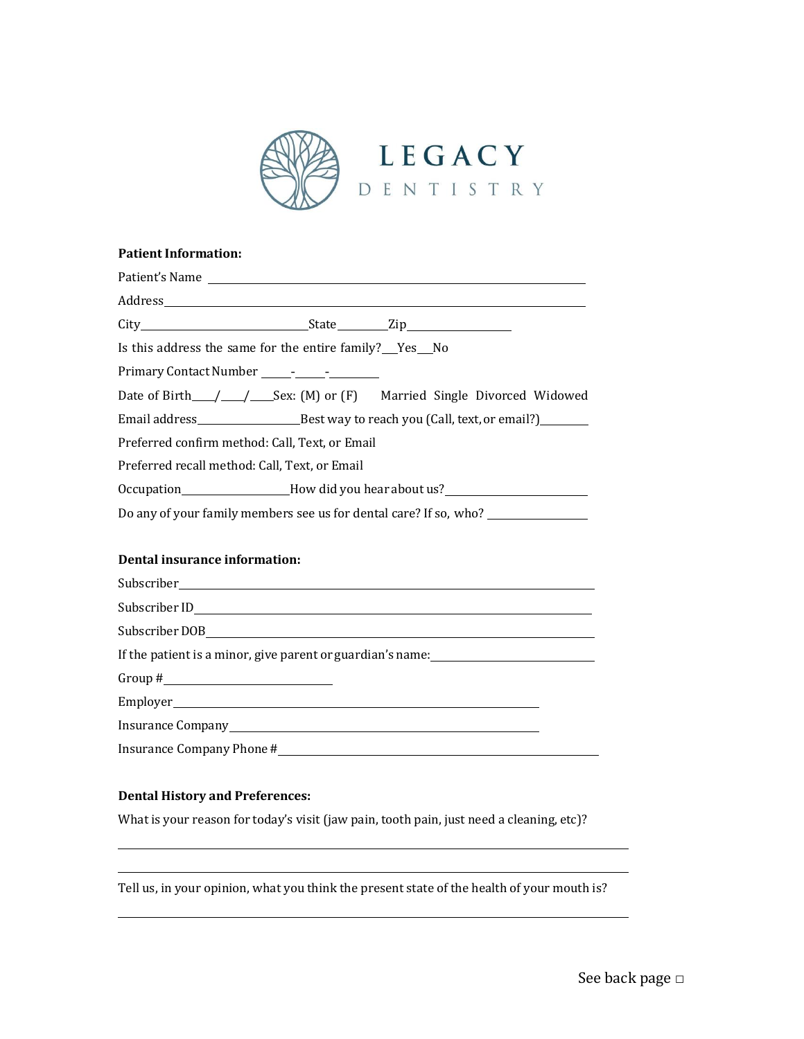

#### **Patient Information:**

| Patient's Name                                                                   |  |  |  |  |  |
|----------------------------------------------------------------------------------|--|--|--|--|--|
|                                                                                  |  |  |  |  |  |
|                                                                                  |  |  |  |  |  |
| Is this address the same for the entire family?__Yes_No                          |  |  |  |  |  |
|                                                                                  |  |  |  |  |  |
|                                                                                  |  |  |  |  |  |
|                                                                                  |  |  |  |  |  |
| Preferred confirm method: Call, Text, or Email                                   |  |  |  |  |  |
| Preferred recall method: Call, Text, or Email                                    |  |  |  |  |  |
| Occupation__________________How did you hear about us?__________________________ |  |  |  |  |  |
| Do any of your family members see us for dental care? If so, who? ______________ |  |  |  |  |  |
|                                                                                  |  |  |  |  |  |
| Dental insurance information:                                                    |  |  |  |  |  |
|                                                                                  |  |  |  |  |  |
|                                                                                  |  |  |  |  |  |
|                                                                                  |  |  |  |  |  |
| If the patient is a minor, give parent or guardian's name:                       |  |  |  |  |  |
| Group # $\_$                                                                     |  |  |  |  |  |
|                                                                                  |  |  |  |  |  |
|                                                                                  |  |  |  |  |  |

**Dental History and Preferences:**

What is your reason for today's visit (jaw pain, tooth pain, just need a cleaning, etc)?

Insurance Company Phone#

Tell us, in your opinion, what you think the present state of the health of your mouth is?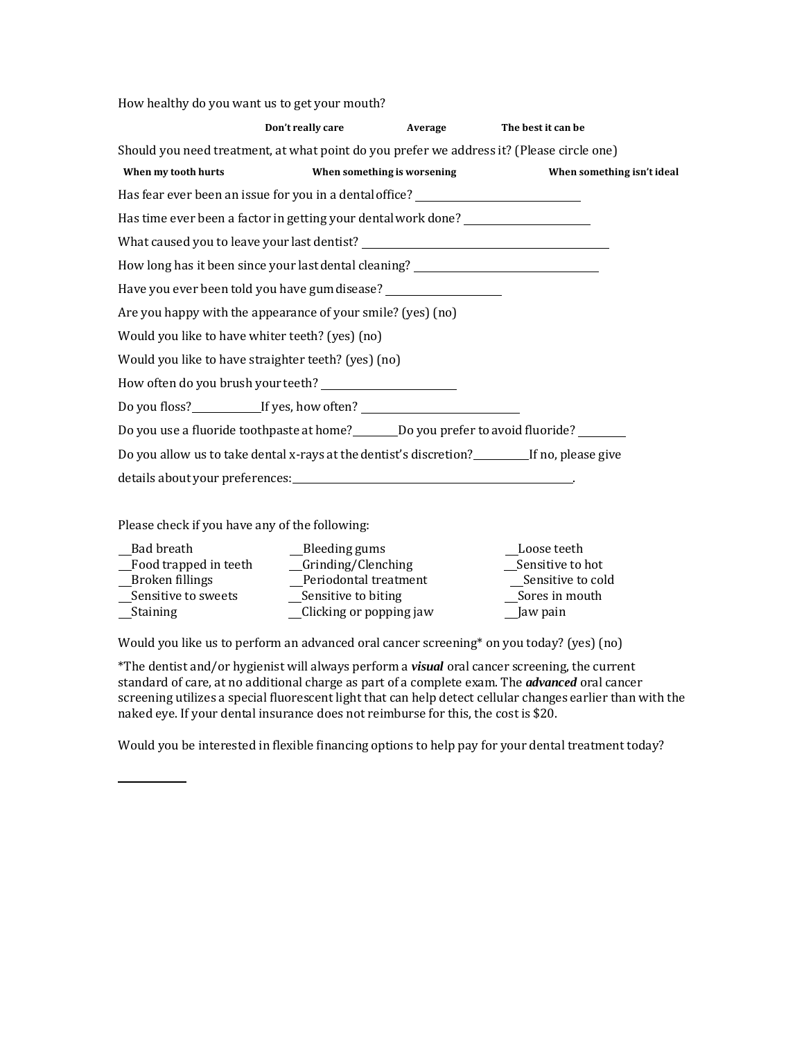How healthy do you want us to get your mouth?

|                                                                                           | Don't really care | Average                     | The best it can be                                                                          |
|-------------------------------------------------------------------------------------------|-------------------|-----------------------------|---------------------------------------------------------------------------------------------|
| Should you need treatment, at what point do you prefer we address it? (Please circle one) |                   |                             |                                                                                             |
| When my tooth hurts                                                                       |                   | When something is worsening | When something isn't ideal                                                                  |
| Has fear ever been an issue for you in a dental office? ________________________          |                   |                             |                                                                                             |
| Has time ever been a factor in getting your dental work done? __________________          |                   |                             |                                                                                             |
|                                                                                           |                   |                             |                                                                                             |
| How long has it been since your last dental cleaning? __________________________          |                   |                             |                                                                                             |
| Have you ever been told you have gum disease?                                             |                   |                             |                                                                                             |
| Are you happy with the appearance of your smile? (yes) (no)                               |                   |                             |                                                                                             |
| Would you like to have whiter teeth? (yes) (no)                                           |                   |                             |                                                                                             |
| Would you like to have straighter teeth? (yes) (no)                                       |                   |                             |                                                                                             |
|                                                                                           |                   |                             |                                                                                             |
| Do you floss?_________________If yes, how often? _______________________________          |                   |                             |                                                                                             |
|                                                                                           |                   |                             | Do you use a fluoride toothpaste at home?_________Do you prefer to avoid fluoride? ________ |
|                                                                                           |                   |                             | Do you allow us to take dental x-rays at the dentist's discretion?<br>If no, please give    |
|                                                                                           |                   |                             |                                                                                             |

Please check if you have any of the following:

| Bad breath            | Bleeding gums           | Loose teeth       |
|-----------------------|-------------------------|-------------------|
| Food trapped in teeth | Grinding/Clenching      | Sensitive to hot  |
| Broken fillings       | Periodontal treatment   | Sensitive to cold |
| Sensitive to sweets   | Sensitive to biting     | Sores in mouth    |
| <b>Staining</b>       | Clicking or popping jaw | Jaw pain          |
|                       |                         |                   |

Would you like us to perform an advanced oral cancer screening\* on you today? (yes) (no)

\*The dentist and/or hygienist will always perform a *visual* oral cancer screening, the current standard of care, at no additional charge as part of a complete exam. The *advanced* oral cancer screening utilizes a special fluorescent light that can help detect cellular changes earlier than with the naked eye. If your dental insurance does not reimburse for this, the cost is \$20.

Would you be interested in flexible financing options to help pay for your dental treatment today?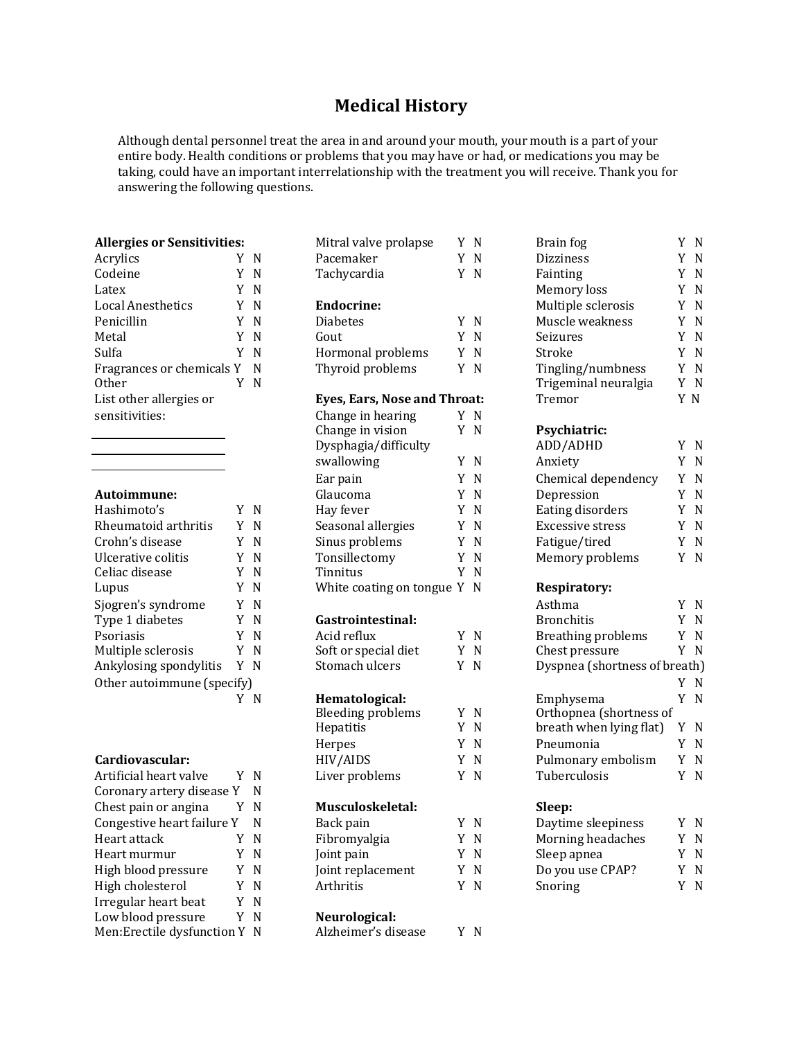## **Medical History**

Although dental personnel treat the area in and around your mouth, your mouth is a part of your entire body. Health conditions or problems that you may have or had, or medications you may be taking, could have an important interrelationship with the treatment you will receive. Thank you for answering the following questions.

| Acrylics                  | Y N |   |
|---------------------------|-----|---|
| Codeine                   | Y N |   |
| Latex                     | Y N |   |
| Local Anesthetics         | Y N |   |
| Penicillin                | Y N |   |
| Metal                     | Y N |   |
| Sulfa                     | Y N |   |
| Fragrances or chemicals Y |     | N |
| Other                     | Y N |   |
| List other allergies or   |     |   |
| sensitivities:            |     |   |
|                           |     |   |

#### **Autoimmune:**

| Hashimoto's                | Y N |   |
|----------------------------|-----|---|
| Rheumatoid arthritis       | Y   | N |
| Crohn's disease            | Y   | N |
| Ulcerative colitis         | Y   | N |
| Celiac disease             | Y N |   |
| Lupus                      | Y N |   |
| Sjogren's syndrome         | Y   | N |
| Type 1 diabetes            | Y N |   |
| Psoriasis                  | Y N |   |
| Multiple sclerosis         | Y   | N |
| Ankylosing spondylitis     | Y   | N |
| Other autoimmune (specify) |     |   |
|                            |     |   |

### Cardiovascular:

| Artificial heart valve        | YN  | Liver problem  |
|-------------------------------|-----|----------------|
| Coronary artery disease Y     | N   |                |
| Chest pain or angina          | -N  | Musculoskele   |
| Congestive heart failure Y    | -N  | Back pain      |
| Heart attack                  | ΥN  | Fibromyalgia   |
| Heart murmur                  | Y N | Joint pain     |
| High blood pressure           | Y N | Joint replacem |
| High cholesterol              | Y N | Arthritis      |
| Irregular heart beat          | Y N |                |
| Low blood pressure            | Y N | Neurological:  |
| Men: Erectile dysfunction Y N |     | Alzheimer's di |

| <b>Allergies or Sensitivities:</b> |     | Mitral valve prolapse        | Y N | Brain fog                     | Y N |
|------------------------------------|-----|------------------------------|-----|-------------------------------|-----|
| Acrylics                           | Y N | Pacemaker                    | Y N | Dizziness                     | Y N |
| Codeine                            | Y N | Tachycardia                  | Y N | Fainting                      | Y N |
| Latex                              | Y N |                              |     | Memory loss                   | Y N |
| Local Anesthetics                  | Y N | <b>Endocrine:</b>            |     | Multiple sclerosis            | Y N |
| Penicillin                         | Y N | <b>Diabetes</b>              | Y N | Muscle weakness               | Y N |
| Metal                              | Y N | Gout                         | Y N | Seizures                      | Y N |
| Sulfa                              | Y N | Hormonal problems            | Y N | Stroke                        | Y N |
| Fragrances or chemicals Y N        |     | Thyroid problems             | Y N | Tingling/numbness             | Y N |
| Other                              | Y N |                              |     | Trigeminal neuralgia          | Y N |
| List other allergies or            |     | Eyes, Ears, Nose and Throat: |     | Tremor                        | Y N |
| sensitivities:                     |     | Change in hearing            | Y N |                               |     |
|                                    |     | Change in vision             | Y N | Psychiatric:                  |     |
|                                    |     | Dysphagia/difficulty         |     | ADD/ADHD                      | Y N |
|                                    |     | swallowing                   | Y N | Anxiety                       | Y N |
|                                    |     | Ear pain                     | Y N | Chemical dependency           | Y N |
| Autoimmune:                        |     | Glaucoma                     | Y N | Depression                    | Y N |
| Hashimoto's                        | Y N | Hay fever                    | Y N | Eating disorders              | Y N |
| Rheumatoid arthritis               | Y N | Seasonal allergies           | Y N | <b>Excessive stress</b>       | Y N |
| Crohn's disease                    | Y N | Sinus problems               | Y N | Fatigue/tired                 | Y N |
| Ulcerative colitis                 | Y N | Tonsillectomy                | Y N | Memory problems               | Y N |
| Celiac disease                     | Y N | Tinnitus                     | Y N |                               |     |
| Lupus                              | Y N | White coating on tongue Y N  |     | <b>Respiratory:</b>           |     |
| Sjogren's syndrome                 | Y N |                              |     | Asthma                        | Y N |
| Type 1 diabetes                    | Y N | Gastrointestinal:            |     | <b>Bronchitis</b>             | Y N |
| Psoriasis                          | Y N | Acid reflux                  | Y N | Breathing problems            | Y N |
| Multiple sclerosis                 | Y N | Soft or special diet         | Y N | Chest pressure                | Y N |
| Ankylosing spondylitis             | Y N | Stomach ulcers               | Y N | Dyspnea (shortness of breath) |     |
| Other autoimmune (specify)         |     |                              |     |                               | Y N |
|                                    | Y N | Hematological:               |     | Emphysema                     | Y N |
|                                    |     | <b>Bleeding problems</b>     | Y N | Orthopnea (shortness of       |     |
|                                    |     | Hepatitis                    | Y N | breath when lying flat)       | Y N |
|                                    |     | Herpes                       | Y N | Pneumonia                     | Y N |
| Cardiovascular:                    |     | HIV/AIDS                     | Y N | Pulmonary embolism            | Y N |
| Artificial heart valve             | Y N | Liver problems               | Y N | Tuberculosis                  | Y N |
| Coronary artery disease Y          | N   |                              |     |                               |     |
| Chest pain or angina               | Y N | Musculoskeletal:             |     | Sleep:                        |     |
| Congestive heart failure Y         | N   | Back pain                    | Y N | Daytime sleepiness            | Y N |
| Heart attack                       | Y N | Fibromyalgia                 | Y N | Morning headaches             | Y N |
| Heart murmur                       | Y N | Joint pain                   | Y N | Sleep apnea                   | Y N |
| High blood pressure                | Y N | Joint replacement            | Y N | Do you use CPAP?              | Y N |
| High cholesterol                   | Y N | Arthritis                    | Y N | Snoring                       | Y N |
| Irregular heart beat               | Y N |                              |     |                               |     |
| Low blood pressure                 | Y N | Neurological:                |     |                               |     |
| Men: Erectile dysfunction Y N      |     | Alzheimer's disease          | Y N |                               |     |
|                                    |     |                              |     |                               |     |
|                                    |     |                              |     |                               |     |

| <b>Allergies or Sensitivities:</b>  |   |       | Mitral valve prolapse                              | Y N   | Brain fog                     | Y N     |
|-------------------------------------|---|-------|----------------------------------------------------|-------|-------------------------------|---------|
| Acrylics                            |   | Y N   | Pacemaker                                          | Y N   | <b>Dizziness</b>              | Y N     |
| Codeine                             |   | Y N   | Tachycardia                                        | Y N   | Fainting                      | Y N     |
| Latex                               |   | Y N   |                                                    |       | Memory loss                   | Y N     |
| <b>Local Anesthetics</b>            |   | Y N   | <b>Endocrine:</b>                                  |       | Multiple sclerosis            | Y N     |
| Penicillin                          |   | Y N   | <b>Diabetes</b>                                    | Y N   | Muscle weakness               | Y N     |
| Metal                               |   | Y N   | Gout                                               | Y N   | Seizures                      | Y N     |
| Sulfa                               |   | Y N   | Hormonal problems                                  | Y N   | Stroke                        | Y N     |
| Fragrances or chemicals Y           |   | N     | Thyroid problems                                   | Y N   | Tingling/numbness             | Y N     |
| Other                               |   | Y N   |                                                    |       | Trigeminal neuralgia          | Y N     |
| List other allergies or             |   |       | Eyes, Ears, Nose and Throat:                       |       | Tremor                        | Y N     |
| sensitivities:                      |   |       | Change in hearing                                  | Y N   |                               |         |
|                                     |   |       | Change in vision                                   | Y N   | Psychiatric:                  |         |
|                                     |   |       | Dysphagia/difficulty                               |       | ADD/ADHD                      | Y N     |
|                                     |   |       | swallowing                                         | Y N   | Anxiety                       | Y N     |
|                                     |   |       | Ear pain                                           | Y N   | Chemical dependency           | Y N     |
| Autoimmune:                         |   |       | Glaucoma                                           | Y N   | Depression                    | Y N     |
| Hashimoto's                         |   | Y N   | Hay fever                                          | Y N   | Eating disorders              | Y N     |
| Rheumatoid arthritis                |   | Y N   | Seasonal allergies                                 | Y N   | Excessive stress              | Y N     |
| Crohn's disease                     |   | Y N   | Sinus problems                                     | Y N   | Fatigue/tired                 | Y N     |
| Ulcerative colitis                  |   | Y N   | Tonsillectomy                                      | Y N   | Memory problems               | Y N     |
| Celiac disease                      |   | Y N   | Tinnitus                                           | Y N   |                               |         |
| Lupus                               |   | Y N   | White coating on tongue Y N                        |       | <b>Respiratory:</b>           |         |
| Sjogren's syndrome                  |   | Y N   |                                                    |       | Asthma                        | Y N     |
| Type 1 diabetes                     |   | Y N   | Gastrointestinal:                                  |       | <b>Bronchitis</b>             | Y N     |
| Psoriasis                           |   | Y N   | Acid reflux                                        | Y N   | <b>Breathing problems</b>     | Y N     |
| Multiple sclerosis                  |   | Y N   | Soft or special diet                               | Y N   | Chest pressure                | Y N     |
| Ankylosing spondylitis              |   | Y N   | Stomach ulcers                                     | Y N   | Dyspnea (shortness of breath) |         |
| Other autoimmune (specify)          |   |       |                                                    |       |                               | Y N     |
|                                     |   | Y N   | Hematological:                                     |       | Emphysema                     | Y N     |
|                                     |   |       | <b>Bleeding problems</b>                           | Y N   | Orthopnea (shortness of       |         |
|                                     |   |       | Hepatitis                                          | Y N   | breath when lying flat)       | Y N     |
|                                     |   |       | Herpes                                             | Y N   | Pneumonia                     | Y N     |
| <b>Cardiovascular:</b>              |   |       | HIV/AIDS                                           | Y N   | Pulmonary embolism            | Y N     |
| Artificial heart valve              |   | Y N   | Liver problems                                     | Y N   | Tuberculosis                  | Y N     |
| Coronary artery disease Y           |   | N     |                                                    |       |                               |         |
| Chest pain or angina                | Y | N     | Musculoskeletal:                                   |       | Sleep:                        |         |
| Congestive heart failure Y          |   | N     | Back pain                                          | Y N   | Daytime sleepiness            | Y N     |
| Heart attack                        |   | Y N   | Fibromyalgia                                       | Y N   | Morning headaches             | Y N     |
| Heart murmur                        |   | Y N   | Joint pain                                         | Y N   | Sleep apnea                   | Y N     |
| High blood pressure                 |   | Y N   | Joint replacement                                  | Y N   | Do you use CPAP?              | Y N     |
| $U: \mathbb{R}^n$ also loots us $U$ |   | $V$ M | $\Lambda$ and $\Lambda$ and $\Lambda$ is $\Lambda$ | $V$ M | $C_{\text{max}}$              | $V$ $N$ |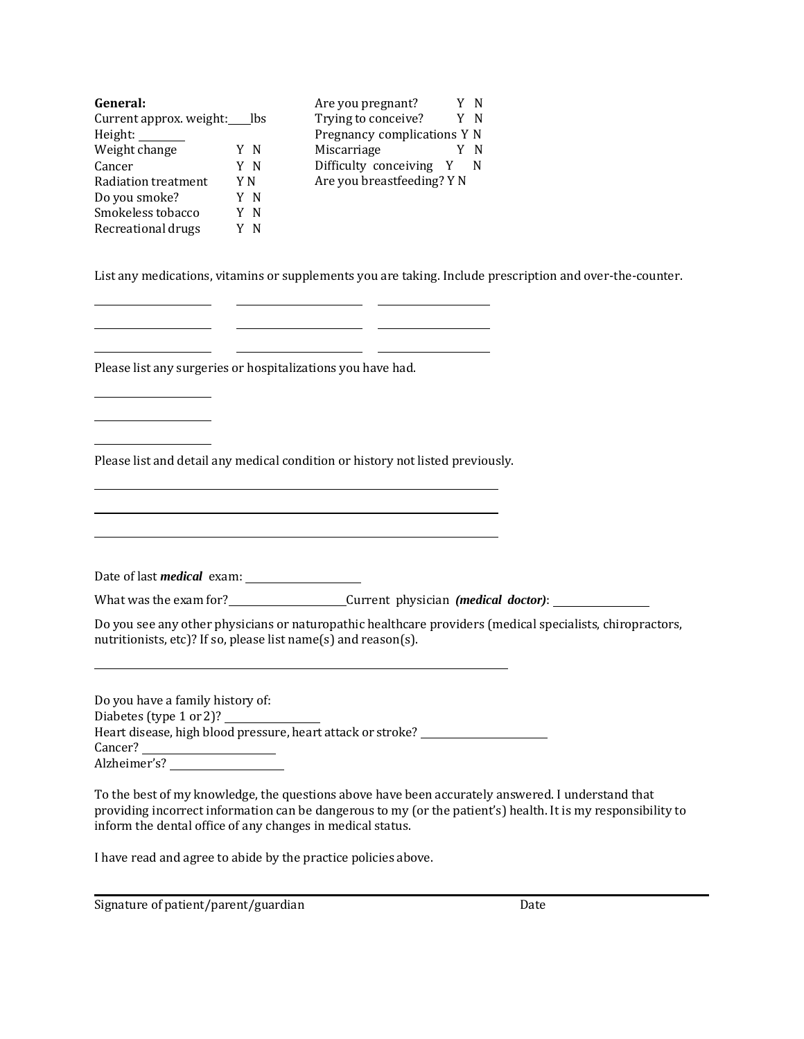| General:                |     | Are you pregnant?           |   |     |
|-------------------------|-----|-----------------------------|---|-----|
| Current approx. weight: | lbs | Trying to conceive?         |   | Y N |
| Height:                 |     | Pregnancy complications Y N |   |     |
| Weight change           | ΥN  | Miscarriage                 |   |     |
| Cancer                  | Y N | Difficulty conceiving       | Y |     |
| Radiation treatment     | Y N | Are you breastfeeding? Y N  |   |     |
| Do you smoke?           | ΥN  |                             |   |     |
| Smokeless tobacco       | N   |                             |   |     |
| Recreational drugs      | N   |                             |   |     |

List any medications, vitamins or supplements you are taking. Include prescription and over-the-counter.

Please list any surgeries or hospitalizations you have had.

Please list and detail any medical condition or history not listed previously.

Date of last *medical* exam:

What was the exam for? Current physician *(medical doctor)*:

Do you see any other physicians or naturopathic healthcare providers (medical specialists, chiropractors, nutritionists, etc)? If so, please list name(s) and reason(s).

Do you have a family history of: Diabetes (type 1 or 2)? Heart disease, high blood pressure, heart attack or stroke? Cancer? Alzheimer's?

To the best of my knowledge, the questions above have been accurately answered. I understand that providing incorrect information can be dangerous to my (or the patient's) health. It is my responsibility to inform the dental office of any changes in medical status.

I have read and agree to abide by the practice policies above.

Signature of patient/parent/guardian Date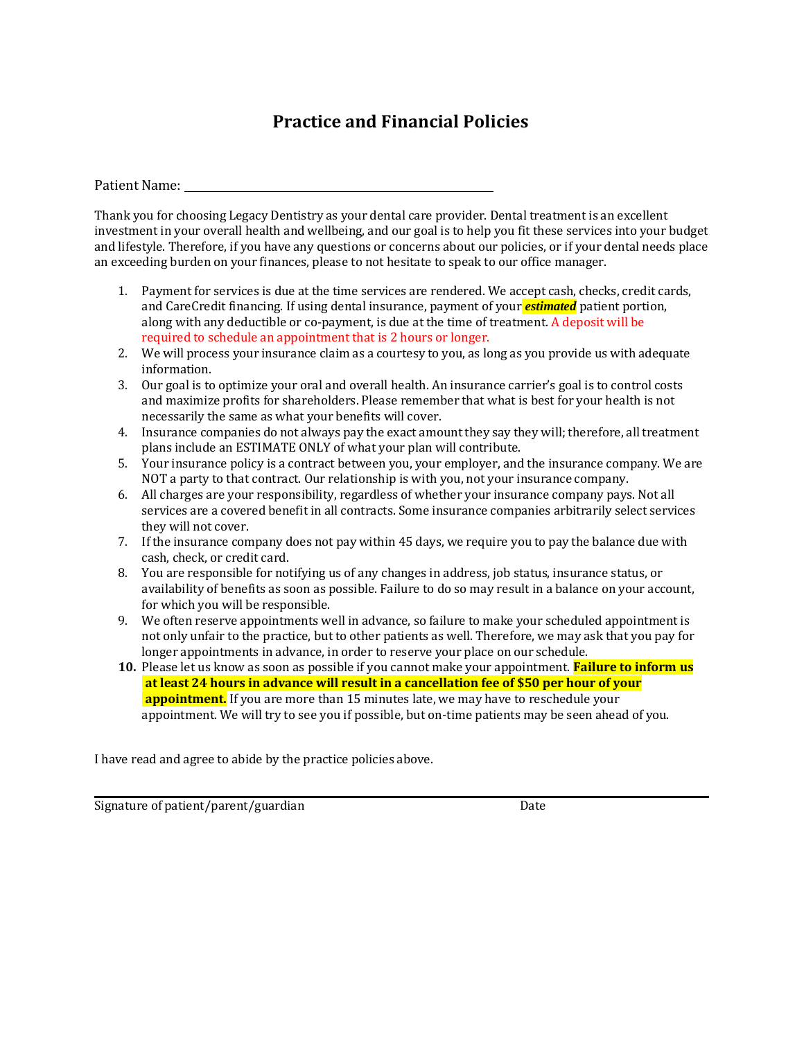# **Practice and Financial Policies**

Patient Name:

Thank you for choosing Legacy Dentistry as your dental care provider. Dental treatment is an excellent investment in your overall health and wellbeing, and our goal is to help you fit these services into your budget and lifestyle. Therefore, if you have any questions or concerns about our policies, or if your dental needs place an exceeding burden on your finances, please to not hesitate to speak to our office manager.

- 1. Payment for services is due at the time services are rendered. We accept cash, checks, credit cards, and CareCredit financing. If using dental insurance, payment of your *estimated* patient portion, along with any deductible or co-payment, is due at the time of treatment. A deposit will be required to schedule an appointment that is 2 hours or longer.
- 2. We will process your insurance claim as a courtesy to you, as long as you provide us with adequate information.
- 3. Our goal is to optimize your oral and overall health. An insurance carrier's goal is to control costs and maximize profits for shareholders. Please remember that what is best for your health is not necessarily the same as what your benefits will cover.
- 4. Insurance companies do not always pay the exact amountthey say they will; therefore, all treatment plans include an ESTIMATE ONLY of what your plan will contribute.
- 5. Your insurance policy is a contract between you, your employer, and the insurance company. We are NOT a party to that contract. Our relationship is with you, not your insurance company.
- 6. All charges are your responsibility, regardless of whether your insurance company pays. Not all services are a covered benefit in all contracts. Some insurance companies arbitrarily select services they will not cover.
- 7. If the insurance company does not pay within 45 days, we require you to pay the balance due with cash, check, or credit card.
- 8. You are responsible for notifying us of any changes in address, job status, insurance status, or availability of benefits as soon as possible. Failure to do so may result in a balance on your account, for which you will be responsible.
- 9. We often reserve appointments well in advance, so failure to make your scheduled appointment is not only unfair to the practice, but to other patients as well. Therefore, we may ask that you pay for longer appointments in advance, in order to reserve your place on our schedule.
- **10.** Please let us know as soon as possible if you cannot make your appointment. **Failure to inform us at least 24 hours in advance will result in a cancellation fee of \$50 per hour of your appointment.** If you are more than 15 minutes late, we may have to reschedule your appointment. We will try to see you if possible, but on-time patients may be seen ahead of you.

I have read and agree to abide by the practice policies above.

Signature of patient/parent/guardian Date